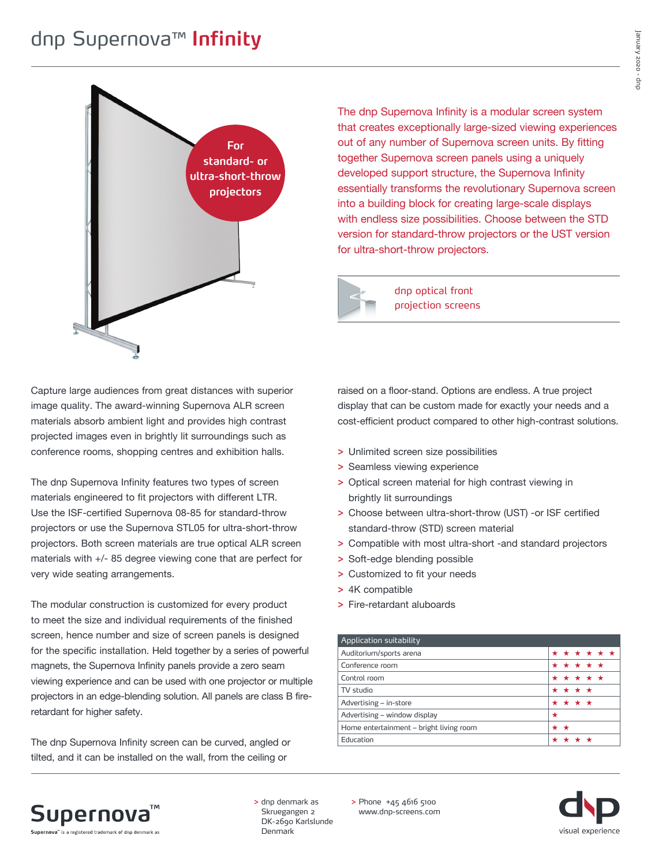### dnp Supernova™ **Infinity**



The dnp Supernova Infinity is a modular screen system that creates exceptionally large-sized viewing experiences out of any number of Supernova screen units. By fitting together Supernova screen panels using a uniquely developed support structure, the Supernova Infinity essentially transforms the revolutionary Supernova screen into a building block for creating large-scale displays with endless size possibilities. Choose between the STD version for standard-throw projectors or the UST version for ultra-short-throw projectors.

dnp optical front projection screens

Capture large audiences from great distances with superior image quality. The award-winning Supernova ALR screen materials absorb ambient light and provides high contrast projected images even in brightly lit surroundings such as conference rooms, shopping centres and exhibition halls.

The dnp Supernova Infinity features two types of screen materials engineered to fit projectors with different LTR. Use the ISF-certified Supernova 08-85 for standard-throw projectors or use the Supernova STL05 for ultra-short-throw projectors. Both screen materials are true optical ALR screen materials with +/- 85 degree viewing cone that are perfect for very wide seating arrangements.

The modular construction is customized for every product to meet the size and individual requirements of the finished screen, hence number and size of screen panels is designed for the specific installation. Held together by a series of powerful magnets, the Supernova Infinity panels provide a zero seam viewing experience and can be used with one projector or multiple projectors in an edge-blending solution. All panels are class B fireretardant for higher safety.

The dnp Supernova Infinity screen can be curved, angled or tilted, and it can be installed on the wall, from the ceiling or

raised on a floor-stand. Options are endless. A true project display that can be custom made for exactly your needs and a cost-efficient product compared to other high-contrast solutions.

- **>** Unlimited screen size possibilities
- **>** Seamless viewing experience
- **>** Optical screen material for high contrast viewing in brightly lit surroundings
- **>** Choose between ultra-short-throw (UST) -or ISF certified standard-throw (STD) screen material
- **>** Compatible with most ultra-short -and standard projectors
- **>** Soft-edge blending possible
- **>** Customized to fit your needs
- **>** 4K compatible
- **>** Fire-retardant aluboards

| Application suitability                 |     |             |  |  |
|-----------------------------------------|-----|-------------|--|--|
| Auditorium/sports arena                 |     | * * * * * * |  |  |
| Conference room                         |     | * * * * *   |  |  |
| Control room                            |     | * * * * *   |  |  |
| TV studio                               |     | * * * *     |  |  |
| Advertising - in-store                  |     | * * * *     |  |  |
| Advertising – window display            | *   |             |  |  |
| Home entertainment - bright living room | * * |             |  |  |
| Education                               |     |             |  |  |



**>** dnp denmark as Skruegangen 2 DK-2690 Karlslunde Denmark

**>** Phone +45 4616 5100 www.dnp-screens.com

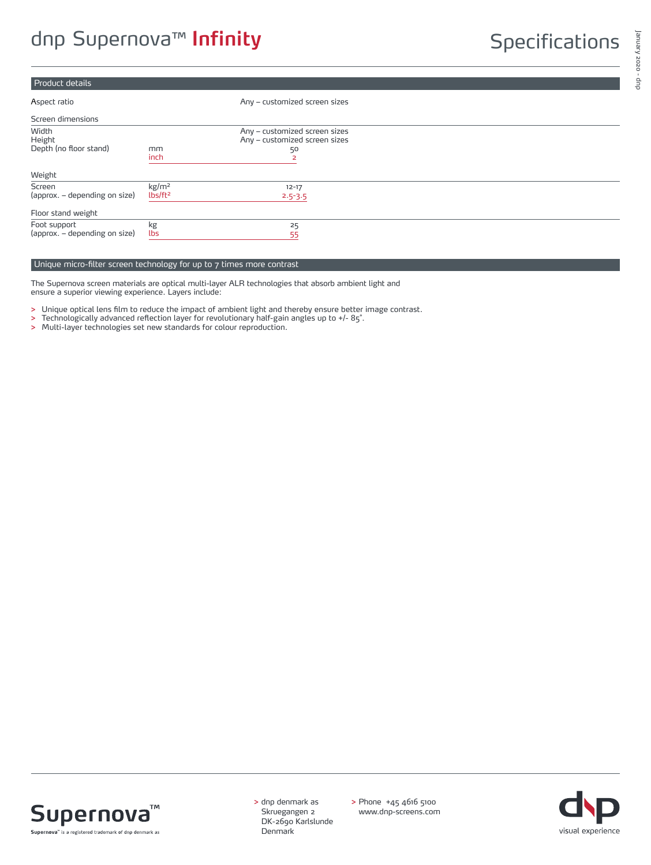### Product details

| Aspect ratio                                  |                                          | Any - customized screen sizes                                        |  |
|-----------------------------------------------|------------------------------------------|----------------------------------------------------------------------|--|
| Screen dimensions                             |                                          |                                                                      |  |
| Width<br>Height<br>Depth (no floor stand)     | mm<br>inch                               | Any - customized screen sizes<br>Any - customized screen sizes<br>50 |  |
| Weight                                        |                                          |                                                                      |  |
| Screen<br>(approx. – depending on size)       | kg/m <sup>2</sup><br>lbs/ft <sup>2</sup> | $12 - 17$<br>$2.5 - 3.5$                                             |  |
| Floor stand weight                            |                                          |                                                                      |  |
| Foot support<br>(approx. – depending on size) | kg<br>lbs                                | 25<br>55                                                             |  |

#### Unique micro-filter screen technology for up to 7 times more contrast

The Supernova screen materials are optical multi-layer ALR technologies that absorb ambient light and ensure a superior viewing experience. Layers include:

**>** Unique optical lens film to reduce the impact of ambient light and thereby ensure better image contrast.

- **>** Technologically advanced reflection layer for revolutionary half-gain angles up to +/- 85˚.
- **>** Multi-layer technologies set new standards for colour reproduction.



**>** dnp denmark as Skruegangen 2 DK-2690 Karlslunde **Denmark** 

**>** Phone +45 4616 5100 www.dnp-screens.com